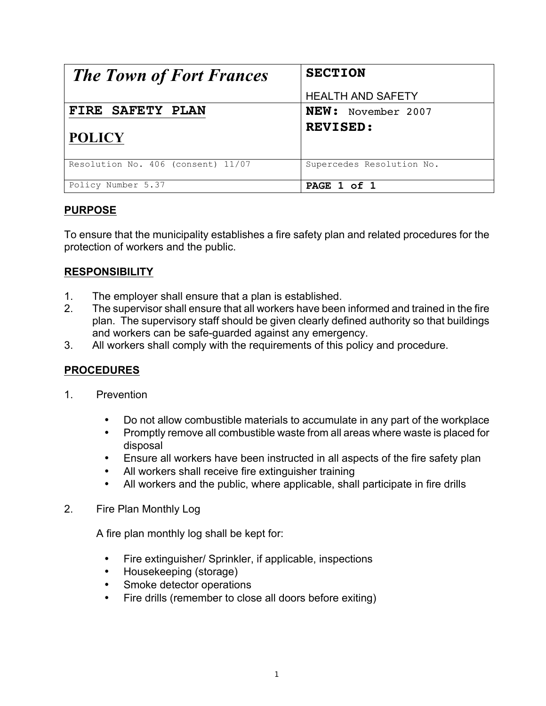| <b>The Town of Fort Frances</b>    | <b>SECTION</b>            |
|------------------------------------|---------------------------|
|                                    | <b>HEALTH AND SAFETY</b>  |
| FIRE SAFETY PLAN                   | NEW: November 2007        |
| <b>POLICY</b>                      | <b>REVISED:</b>           |
| Resolution No. 406 (consent) 11/07 | Supercedes Resolution No. |
| Policy Number 5.37                 | PAGE 1 of 1               |

## **PURPOSE**

To ensure that the municipality establishes a fire safety plan and related procedures for the protection of workers and the public.

## **RESPONSIBILITY**

- 1. The employer shall ensure that a plan is established.
- 2. The supervisor shall ensure that all workers have been informed and trained in the fire plan. The supervisory staff should be given clearly defined authority so that buildings and workers can be safe-guarded against any emergency.
- 3. All workers shall comply with the requirements of this policy and procedure.

## **PROCEDURES**

- 1. Prevention
	- Do not allow combustible materials to accumulate in any part of the workplace
	- Promptly remove all combustible waste from all areas where waste is placed for disposal
	- Ensure all workers have been instructed in all aspects of the fire safety plan
	- All workers shall receive fire extinguisher training
	- All workers and the public, where applicable, shall participate in fire drills
- 2. Fire Plan Monthly Log

A fire plan monthly log shall be kept for:

- Fire extinguisher/ Sprinkler, if applicable, inspections
- Housekeeping (storage)
- Smoke detector operations
- Fire drills (remember to close all doors before exiting)